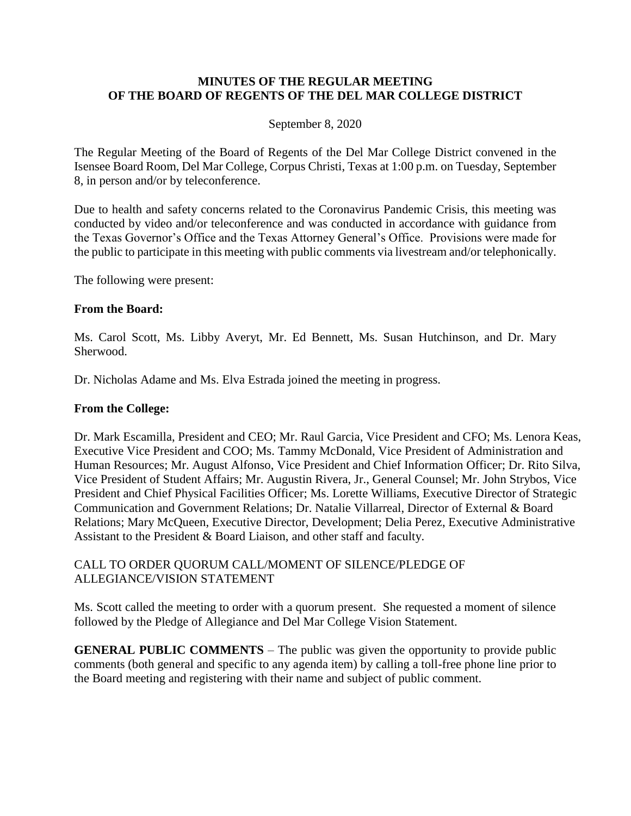### **MINUTES OF THE REGULAR MEETING OF THE BOARD OF REGENTS OF THE DEL MAR COLLEGE DISTRICT**

### September 8, 2020

The Regular Meeting of the Board of Regents of the Del Mar College District convened in the Isensee Board Room, Del Mar College, Corpus Christi, Texas at 1:00 p.m. on Tuesday, September 8, in person and/or by teleconference.

Due to health and safety concerns related to the Coronavirus Pandemic Crisis, this meeting was conducted by video and/or teleconference and was conducted in accordance with guidance from the Texas Governor's Office and the Texas Attorney General's Office. Provisions were made for the public to participate in this meeting with public comments via livestream and/or telephonically.

The following were present:

### **From the Board:**

Ms. Carol Scott, Ms. Libby Averyt, Mr. Ed Bennett, Ms. Susan Hutchinson, and Dr. Mary Sherwood.

Dr. Nicholas Adame and Ms. Elva Estrada joined the meeting in progress.

#### **From the College:**

Dr. Mark Escamilla, President and CEO; Mr. Raul Garcia, Vice President and CFO; Ms. Lenora Keas, Executive Vice President and COO; Ms. Tammy McDonald, Vice President of Administration and Human Resources; Mr. August Alfonso, Vice President and Chief Information Officer; Dr. Rito Silva, Vice President of Student Affairs; Mr. Augustin Rivera, Jr., General Counsel; Mr. John Strybos, Vice President and Chief Physical Facilities Officer; Ms. Lorette Williams, Executive Director of Strategic Communication and Government Relations; Dr. Natalie Villarreal, Director of External & Board Relations; Mary McQueen, Executive Director, Development; Delia Perez, Executive Administrative Assistant to the President & Board Liaison, and other staff and faculty.

### CALL TO ORDER QUORUM CALL/MOMENT OF SILENCE/PLEDGE OF ALLEGIANCE/VISION STATEMENT

Ms. Scott called the meeting to order with a quorum present. She requested a moment of silence followed by the Pledge of Allegiance and Del Mar College Vision Statement.

**GENERAL PUBLIC COMMENTS** – The public was given the opportunity to provide public comments (both general and specific to any agenda item) by calling a toll-free phone line prior to the Board meeting and registering with their name and subject of public comment.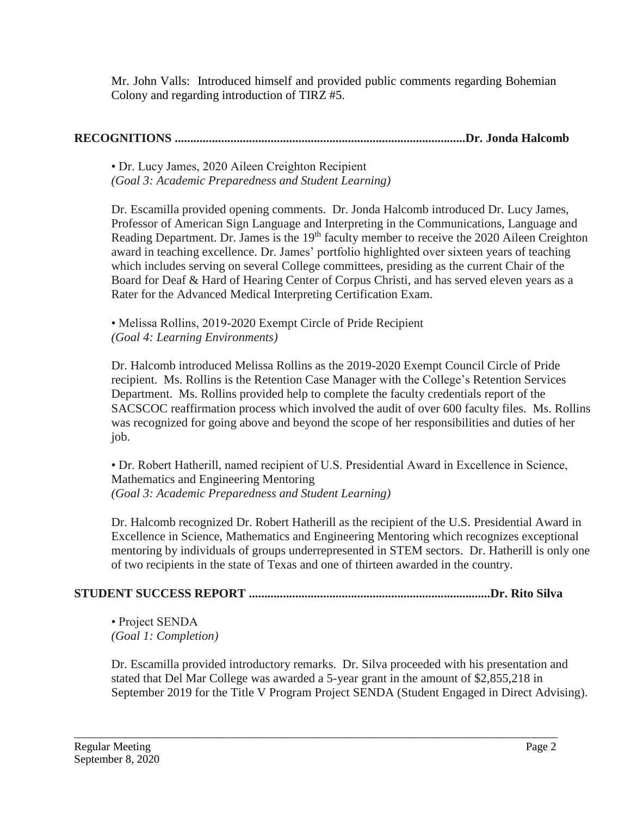Mr. John Valls: Introduced himself and provided public comments regarding Bohemian Colony and regarding introduction of TIRZ #5.

# **RECOGNITIONS ..............................................................................................Dr. Jonda Halcomb**

• Dr. Lucy James, 2020 Aileen Creighton Recipient *(Goal 3: Academic Preparedness and Student Learning)*

Dr. Escamilla provided opening comments. Dr. Jonda Halcomb introduced Dr. Lucy James, Professor of American Sign Language and Interpreting in the Communications, Language and Reading Department. Dr. James is the  $19<sup>th</sup>$  faculty member to receive the 2020 Aileen Creighton award in teaching excellence. Dr. James' portfolio highlighted over sixteen years of teaching which includes serving on several College committees, presiding as the current Chair of the Board for Deaf & Hard of Hearing Center of Corpus Christi, and has served eleven years as a Rater for the Advanced Medical Interpreting Certification Exam.

• Melissa Rollins, 2019-2020 Exempt Circle of Pride Recipient *(Goal 4: Learning Environments)*

Dr. Halcomb introduced Melissa Rollins as the 2019-2020 Exempt Council Circle of Pride recipient. Ms. Rollins is the Retention Case Manager with the College's Retention Services Department. Ms. Rollins provided help to complete the faculty credentials report of the SACSCOC reaffirmation process which involved the audit of over 600 faculty files. Ms. Rollins was recognized for going above and beyond the scope of her responsibilities and duties of her job.

• Dr. Robert Hatherill, named recipient of U.S. Presidential Award in Excellence in Science, Mathematics and Engineering Mentoring *(Goal 3: Academic Preparedness and Student Learning)*

Dr. Halcomb recognized Dr. Robert Hatherill as the recipient of the U.S. Presidential Award in Excellence in Science, Mathematics and Engineering Mentoring which recognizes exceptional mentoring by individuals of groups underrepresented in STEM sectors. Dr. Hatherill is only one of two recipients in the state of Texas and one of thirteen awarded in the country.

# **STUDENT SUCCESS REPORT ..............................................................................Dr. Rito Silva**

\_\_\_\_\_\_\_\_\_\_\_\_\_\_\_\_\_\_\_\_\_\_\_\_\_\_\_\_\_\_\_\_\_\_\_\_\_\_\_\_\_\_\_\_\_\_\_\_\_\_\_\_\_\_\_\_\_\_\_\_\_\_\_\_\_\_\_\_\_\_\_\_\_\_\_\_\_\_\_\_\_\_\_\_\_

• Project SENDA *(Goal 1: Completion)*

Dr. Escamilla provided introductory remarks. Dr. Silva proceeded with his presentation and stated that Del Mar College was awarded a 5-year grant in the amount of \$2,855,218 in September 2019 for the Title V Program Project SENDA (Student Engaged in Direct Advising).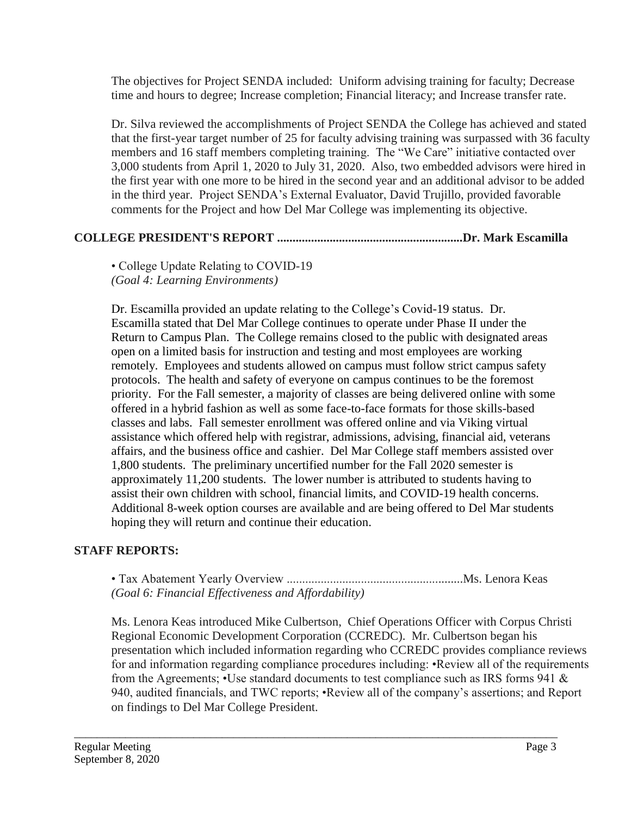The objectives for Project SENDA included: Uniform advising training for faculty; Decrease time and hours to degree; Increase completion; Financial literacy; and Increase transfer rate.

Dr. Silva reviewed the accomplishments of Project SENDA the College has achieved and stated that the first-year target number of 25 for faculty advising training was surpassed with 36 faculty members and 16 staff members completing training. The "We Care" initiative contacted over 3,000 students from April 1, 2020 to July 31, 2020. Also, two embedded advisors were hired in the first year with one more to be hired in the second year and an additional advisor to be added in the third year. Project SENDA's External Evaluator, David Trujillo, provided favorable comments for the Project and how Del Mar College was implementing its objective.

## **COLLEGE PRESIDENT'S REPORT ............................................................Dr. Mark Escamilla**

• College Update Relating to COVID-19 *(Goal 4: Learning Environments)*

Dr. Escamilla provided an update relating to the College's Covid-19 status. Dr. Escamilla stated that Del Mar College continues to operate under Phase II under the Return to Campus Plan. The College remains closed to the public with designated areas open on a limited basis for instruction and testing and most employees are working remotely. Employees and students allowed on campus must follow strict campus safety protocols. The health and safety of everyone on campus continues to be the foremost priority. For the Fall semester, a majority of classes are being delivered online with some offered in a hybrid fashion as well as some face-to-face formats for those skills-based classes and labs. Fall semester enrollment was offered online and via Viking virtual assistance which offered help with registrar, admissions, advising, financial aid, veterans affairs, and the business office and cashier. Del Mar College staff members assisted over 1,800 students. The preliminary uncertified number for the Fall 2020 semester is approximately 11,200 students. The lower number is attributed to students having to assist their own children with school, financial limits, and COVID-19 health concerns. Additional 8-week option courses are available and are being offered to Del Mar students hoping they will return and continue their education.

## **STAFF REPORTS:**

• Tax Abatement Yearly Overview .........................................................Ms. Lenora Keas *(Goal 6: Financial Effectiveness and Affordability)*

\_\_\_\_\_\_\_\_\_\_\_\_\_\_\_\_\_\_\_\_\_\_\_\_\_\_\_\_\_\_\_\_\_\_\_\_\_\_\_\_\_\_\_\_\_\_\_\_\_\_\_\_\_\_\_\_\_\_\_\_\_\_\_\_\_\_\_\_\_\_\_\_\_\_\_\_\_\_\_\_\_\_\_\_\_

Ms. Lenora Keas introduced Mike Culbertson, Chief Operations Officer with Corpus Christi Regional Economic Development Corporation (CCREDC). Mr. Culbertson began his presentation which included information regarding who CCREDC provides compliance reviews for and information regarding compliance procedures including: •Review all of the requirements from the Agreements; •Use standard documents to test compliance such as IRS forms 941 & 940, audited financials, and TWC reports; •Review all of the company's assertions; and Report on findings to Del Mar College President.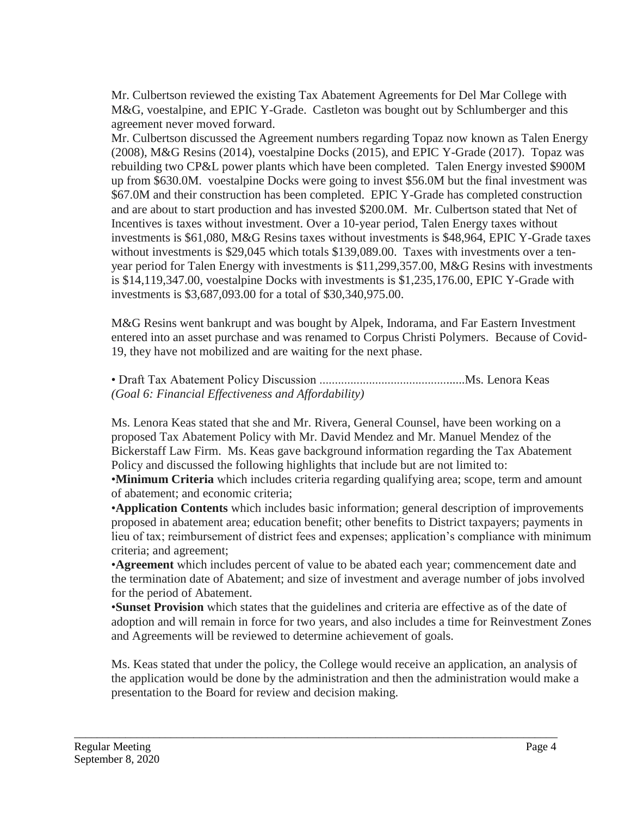Mr. Culbertson reviewed the existing Tax Abatement Agreements for Del Mar College with M&G, voestalpine, and EPIC Y-Grade. Castleton was bought out by Schlumberger and this agreement never moved forward.

Mr. Culbertson discussed the Agreement numbers regarding Topaz now known as Talen Energy (2008), M&G Resins (2014), voestalpine Docks (2015), and EPIC Y-Grade (2017). Topaz was rebuilding two CP&L power plants which have been completed. Talen Energy invested \$900M up from \$630.0M. voestalpine Docks were going to invest \$56.0M but the final investment was \$67.0M and their construction has been completed. EPIC Y-Grade has completed construction and are about to start production and has invested \$200.0M. Mr. Culbertson stated that Net of Incentives is taxes without investment. Over a 10-year period, Talen Energy taxes without investments is \$61,080, M&G Resins taxes without investments is \$48,964, EPIC Y-Grade taxes without investments is \$29,045 which totals \$139,089.00. Taxes with investments over a tenyear period for Talen Energy with investments is \$11,299,357.00, M&G Resins with investments is \$14,119,347.00, voestalpine Docks with investments is \$1,235,176.00, EPIC Y-Grade with investments is \$3,687,093.00 for a total of \$30,340,975.00.

M&G Resins went bankrupt and was bought by Alpek, Indorama, and Far Eastern Investment entered into an asset purchase and was renamed to Corpus Christi Polymers. Because of Covid-19, they have not mobilized and are waiting for the next phase.

• Draft Tax Abatement Policy Discussion ...............................................Ms. Lenora Keas *(Goal 6: Financial Effectiveness and Affordability)*

Ms. Lenora Keas stated that she and Mr. Rivera, General Counsel, have been working on a proposed Tax Abatement Policy with Mr. David Mendez and Mr. Manuel Mendez of the Bickerstaff Law Firm. Ms. Keas gave background information regarding the Tax Abatement Policy and discussed the following highlights that include but are not limited to:

•**Minimum Criteria** which includes criteria regarding qualifying area; scope, term and amount of abatement; and economic criteria;

•**Application Contents** which includes basic information; general description of improvements proposed in abatement area; education benefit; other benefits to District taxpayers; payments in lieu of tax; reimbursement of district fees and expenses; application's compliance with minimum criteria; and agreement;

•**Agreement** which includes percent of value to be abated each year; commencement date and the termination date of Abatement; and size of investment and average number of jobs involved for the period of Abatement.

•**Sunset Provision** which states that the guidelines and criteria are effective as of the date of adoption and will remain in force for two years, and also includes a time for Reinvestment Zones and Agreements will be reviewed to determine achievement of goals.

Ms. Keas stated that under the policy, the College would receive an application, an analysis of the application would be done by the administration and then the administration would make a presentation to the Board for review and decision making.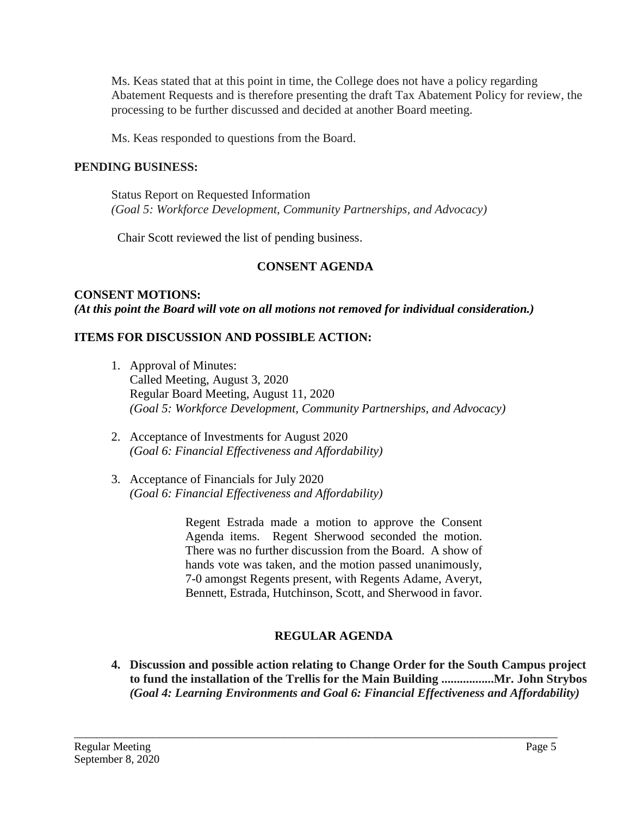Ms. Keas stated that at this point in time, the College does not have a policy regarding Abatement Requests and is therefore presenting the draft Tax Abatement Policy for review, the processing to be further discussed and decided at another Board meeting.

Ms. Keas responded to questions from the Board.

### **PENDING BUSINESS:**

Status Report on Requested Information *(Goal 5: Workforce Development, Community Partnerships, and Advocacy)*

Chair Scott reviewed the list of pending business.

### **CONSENT AGENDA**

### **CONSENT MOTIONS:** *(At this point the Board will vote on all motions not removed for individual consideration.)*

### **ITEMS FOR DISCUSSION AND POSSIBLE ACTION:**

- 1. Approval of Minutes: Called Meeting, August 3, 2020 Regular Board Meeting, August 11, 2020 *(Goal 5: Workforce Development, Community Partnerships, and Advocacy)*
- 2. Acceptance of Investments for August 2020 *(Goal 6: Financial Effectiveness and Affordability)*
- 3. Acceptance of Financials for July 2020 *(Goal 6: Financial Effectiveness and Affordability)*

Regent Estrada made a motion to approve the Consent Agenda items. Regent Sherwood seconded the motion. There was no further discussion from the Board. A show of hands vote was taken, and the motion passed unanimously, 7-0 amongst Regents present, with Regents Adame, Averyt, Bennett, Estrada, Hutchinson, Scott, and Sherwood in favor.

## **REGULAR AGENDA**

\_\_\_\_\_\_\_\_\_\_\_\_\_\_\_\_\_\_\_\_\_\_\_\_\_\_\_\_\_\_\_\_\_\_\_\_\_\_\_\_\_\_\_\_\_\_\_\_\_\_\_\_\_\_\_\_\_\_\_\_\_\_\_\_\_\_\_\_\_\_\_\_\_\_\_\_\_\_\_\_\_\_\_\_\_

**4. Discussion and possible action relating to Change Order for the South Campus project to fund the installation of the Trellis for the Main Building .................Mr. John Strybos** *(Goal 4: Learning Environments and Goal 6: Financial Effectiveness and Affordability)*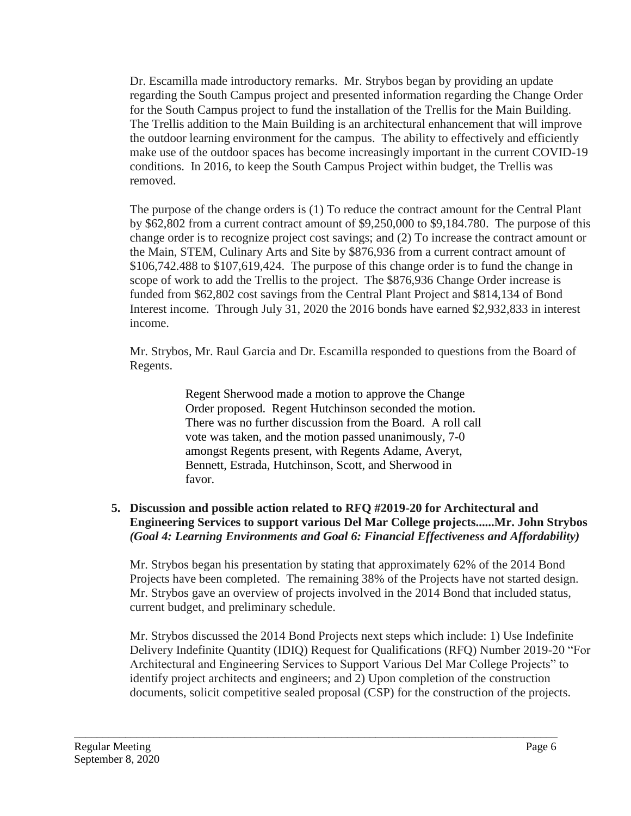Dr. Escamilla made introductory remarks. Mr. Strybos began by providing an update regarding the South Campus project and presented information regarding the Change Order for the South Campus project to fund the installation of the Trellis for the Main Building. The Trellis addition to the Main Building is an architectural enhancement that will improve the outdoor learning environment for the campus. The ability to effectively and efficiently make use of the outdoor spaces has become increasingly important in the current COVID-19 conditions. In 2016, to keep the South Campus Project within budget, the Trellis was removed.

The purpose of the change orders is (1) To reduce the contract amount for the Central Plant by \$62,802 from a current contract amount of \$9,250,000 to \$9,184.780. The purpose of this change order is to recognize project cost savings; and (2) To increase the contract amount or the Main, STEM, Culinary Arts and Site by \$876,936 from a current contract amount of \$106,742.488 to \$107,619,424. The purpose of this change order is to fund the change in scope of work to add the Trellis to the project. The \$876,936 Change Order increase is funded from \$62,802 cost savings from the Central Plant Project and \$814,134 of Bond Interest income. Through July 31, 2020 the 2016 bonds have earned \$2,932,833 in interest income.

Mr. Strybos, Mr. Raul Garcia and Dr. Escamilla responded to questions from the Board of Regents.

> Regent Sherwood made a motion to approve the Change Order proposed. Regent Hutchinson seconded the motion. There was no further discussion from the Board. A roll call vote was taken, and the motion passed unanimously, 7-0 amongst Regents present, with Regents Adame, Averyt, Bennett, Estrada, Hutchinson, Scott, and Sherwood in favor.

## **5. Discussion and possible action related to RFQ #2019-20 for Architectural and Engineering Services to support various Del Mar College projects......Mr. John Strybos** *(Goal 4: Learning Environments and Goal 6: Financial Effectiveness and Affordability)*

Mr. Strybos began his presentation by stating that approximately 62% of the 2014 Bond Projects have been completed. The remaining 38% of the Projects have not started design. Mr. Strybos gave an overview of projects involved in the 2014 Bond that included status, current budget, and preliminary schedule.

Mr. Strybos discussed the 2014 Bond Projects next steps which include: 1) Use Indefinite Delivery Indefinite Quantity (IDIQ) Request for Qualifications (RFQ) Number 2019-20 "For Architectural and Engineering Services to Support Various Del Mar College Projects" to identify project architects and engineers; and 2) Upon completion of the construction documents, solicit competitive sealed proposal (CSP) for the construction of the projects.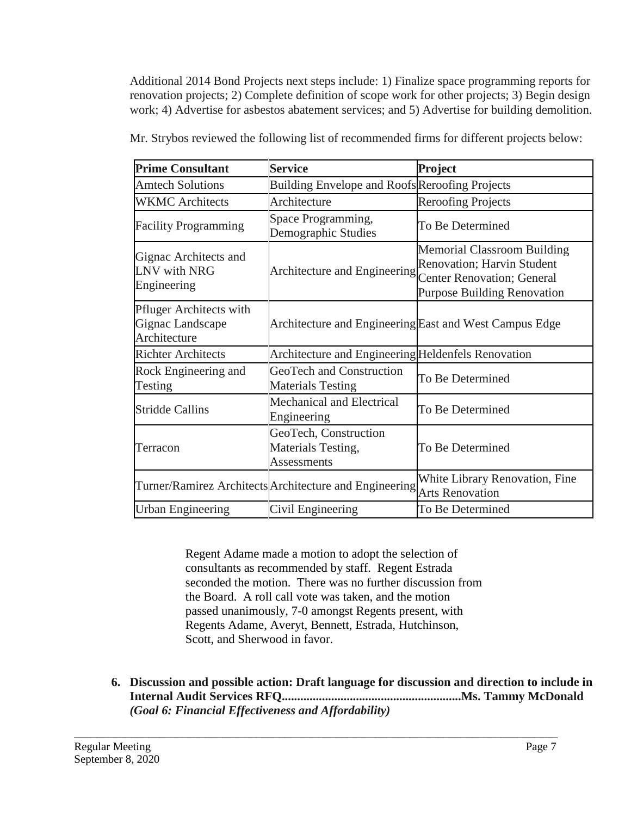Additional 2014 Bond Projects next steps include: 1) Finalize space programming reports for renovation projects; 2) Complete definition of scope work for other projects; 3) Begin design work; 4) Advertise for asbestos abatement services; and 5) Advertise for building demolition.

| <b>Prime Consultant</b>                                            | <b>Service</b>                                                    | <b>Project</b>                                                                                                                                      |
|--------------------------------------------------------------------|-------------------------------------------------------------------|-----------------------------------------------------------------------------------------------------------------------------------------------------|
| <b>Amtech Solutions</b>                                            | <b>Building Envelope and Roofs Reroofing Projects</b>             |                                                                                                                                                     |
| <b>WKMC</b> Architects                                             | Architecture                                                      | <b>Reroofing Projects</b>                                                                                                                           |
| <b>Facility Programming</b>                                        | Space Programming,<br>Demographic Studies                         | To Be Determined                                                                                                                                    |
| Gignac Architects and<br>LNV with NRG<br>Engineering               | Architecture and Engineering                                      | <b>Memorial Classroom Building</b><br><b>Renovation</b> ; Harvin Student<br><b>Center Renovation; General</b><br><b>Purpose Building Renovation</b> |
| <b>Pfluger Architects with</b><br>Gignac Landscape<br>Architecture | Architecture and Engineering East and West Campus Edge            |                                                                                                                                                     |
| <b>Richter Architects</b>                                          | Architecture and Engineering Heldenfels Renovation                |                                                                                                                                                     |
| Rock Engineering and<br>Testing                                    | GeoTech and Construction<br><b>Materials Testing</b>              | To Be Determined                                                                                                                                    |
| <b>Stridde Callins</b>                                             | Mechanical and Electrical<br>Engineering                          | To Be Determined                                                                                                                                    |
| Terracon                                                           | GeoTech, Construction<br>Materials Testing,<br><b>Assessments</b> | To Be Determined                                                                                                                                    |
|                                                                    | Turner/Ramirez Architects Architecture and Engineering            | White Library Renovation, Fine<br><b>Arts Renovation</b>                                                                                            |
| <b>Urban Engineering</b>                                           | Civil Engineering                                                 | To Be Determined                                                                                                                                    |

Mr. Strybos reviewed the following list of recommended firms for different projects below:

Regent Adame made a motion to adopt the selection of consultants as recommended by staff. Regent Estrada seconded the motion. There was no further discussion from the Board. A roll call vote was taken, and the motion passed unanimously, 7-0 amongst Regents present, with Regents Adame, Averyt, Bennett, Estrada, Hutchinson, Scott, and Sherwood in favor.

**6. Discussion and possible action: Draft language for discussion and direction to include in Internal Audit Services RFQ..........................................................Ms. Tammy McDonald** *(Goal 6: Financial Effectiveness and Affordability)*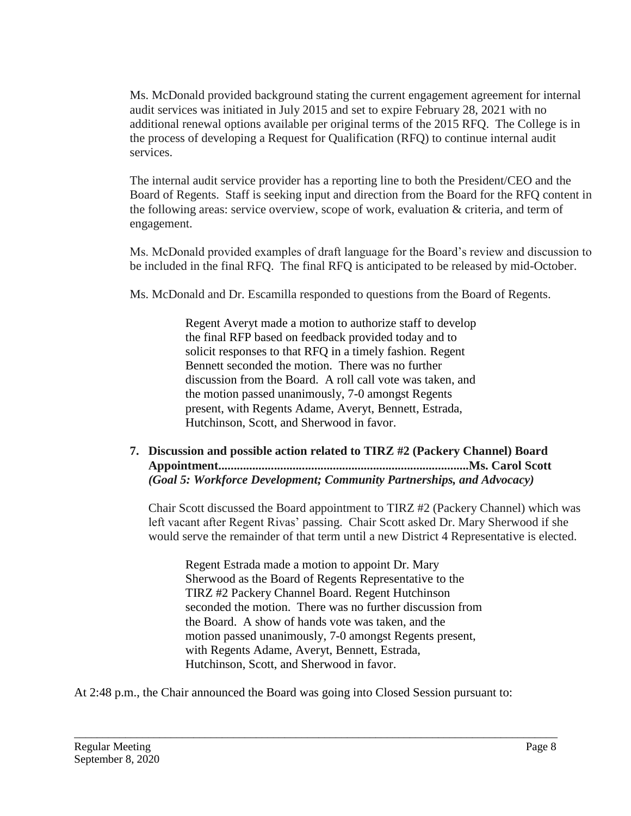Ms. McDonald provided background stating the current engagement agreement for internal audit services was initiated in July 2015 and set to expire February 28, 2021 with no additional renewal options available per original terms of the 2015 RFQ. The College is in the process of developing a Request for Qualification (RFQ) to continue internal audit services.

The internal audit service provider has a reporting line to both the President/CEO and the Board of Regents. Staff is seeking input and direction from the Board for the RFQ content in the following areas: service overview, scope of work, evaluation & criteria, and term of engagement.

Ms. McDonald provided examples of draft language for the Board's review and discussion to be included in the final RFQ. The final RFQ is anticipated to be released by mid-October.

Ms. McDonald and Dr. Escamilla responded to questions from the Board of Regents.

Regent Averyt made a motion to authorize staff to develop the final RFP based on feedback provided today and to solicit responses to that RFQ in a timely fashion. Regent Bennett seconded the motion. There was no further discussion from the Board. A roll call vote was taken, and the motion passed unanimously, 7-0 amongst Regents present, with Regents Adame, Averyt, Bennett, Estrada, Hutchinson, Scott, and Sherwood in favor.

**7. Discussion and possible action related to TIRZ #2 (Packery Channel) Board Appointment.................................................................................Ms. Carol Scott** *(Goal 5: Workforce Development; Community Partnerships, and Advocacy)*

Chair Scott discussed the Board appointment to TIRZ #2 (Packery Channel) which was left vacant after Regent Rivas' passing. Chair Scott asked Dr. Mary Sherwood if she would serve the remainder of that term until a new District 4 Representative is elected.

Regent Estrada made a motion to appoint Dr. Mary Sherwood as the Board of Regents Representative to the TIRZ #2 Packery Channel Board. Regent Hutchinson seconded the motion. There was no further discussion from the Board. A show of hands vote was taken, and the motion passed unanimously, 7-0 amongst Regents present, with Regents Adame, Averyt, Bennett, Estrada, Hutchinson, Scott, and Sherwood in favor.

At 2:48 p.m., the Chair announced the Board was going into Closed Session pursuant to: